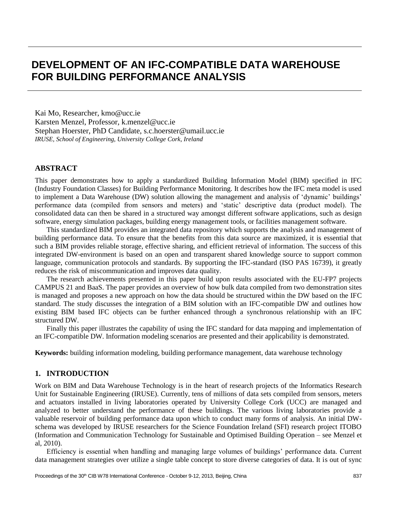# **DEVELOPMENT OF AN IFC-COMPATIBLE DATA WAREHOUSE FOR BUILDING PERFORMANCE ANALYSIS**

Kai Mo, Researcher, [kmo@ucc.ie](mailto:kmo@ucc.ie) Karsten Menzel, Professor, [k.menzel@ucc.ie](mailto:k.menzel@ucc.ie) Stephan Hoerster, PhD Candidate, [s.c.hoerster@umail.ucc.ie](mailto:s.c.hoerster@umail.ucc.ie) *IRUSE, School of Engineering, University College Cork, Ireland*

# **ABSTRACT**

This paper demonstrates how to apply a standardized Building Information Model (BIM) specified in IFC (Industry Foundation Classes) for Building Performance Monitoring. It describes how the IFC meta model is used to implement a Data Warehouse (DW) solution allowing the management and analysis of 'dynamic' buildings' performance data (compiled from sensors and meters) and 'static' descriptive data (product model). The consolidated data can then be shared in a structured way amongst different software applications, such as design software, energy simulation packages, building energy management tools, or facilities management software.

This standardized BIM provides an integrated data repository which supports the analysis and management of building performance data. To ensure that the benefits from this data source are maximized, it is essential that such a BIM provides reliable storage, effective sharing, and efficient retrieval of information. The success of this integrated DW-environment is based on an open and transparent shared knowledge source to support common language, communication protocols and standards. By supporting the IFC-standard (ISO PAS 16739), it greatly reduces the risk of miscommunication and improves data quality.

The research achievements presented in this paper build upon results associated with the EU-FP7 projects CAMPUS 21 and BaaS. The paper provides an overview of how bulk data compiled from two demonstration sites is managed and proposes a new approach on how the data should be structured within the DW based on the IFC standard. The study discusses the integration of a BIM solution with an IFC-compatible DW and outlines how existing BIM based IFC objects can be further enhanced through a synchronous relationship with an IFC structured DW.

Finally this paper illustrates the capability of using the IFC standard for data mapping and implementation of an IFC-compatible DW. Information modeling scenarios are presented and their applicability is demonstrated.

**Keywords:** building information modeling, building performance management, data warehouse technology

## **1. INTRODUCTION**

Work on BIM and Data Warehouse Technology is in the heart of research projects of the Informatics Research Unit for Sustainable Engineering (IRUSE). Currently, tens of millions of data sets compiled from sensors, meters and actuators installed in living laboratories operated by University College Cork (UCC) are managed and analyzed to better understand the performance of these buildings. The various living laboratories provide a valuable reservoir of building performance data upon which to conduct many forms of analysis. An initial DWschema was developed by IRUSE researchers for the Science Foundation Ireland (SFI) research project ITOBO (Information and Communication Technology for Sustainable and Optimised Building Operation – see Menzel et al, 2010).

Efficiency is essential when handling and managing large volumes of buildings' performance data. Current data management strategies over utilize a single table concept to store diverse categories of data. It is out of sync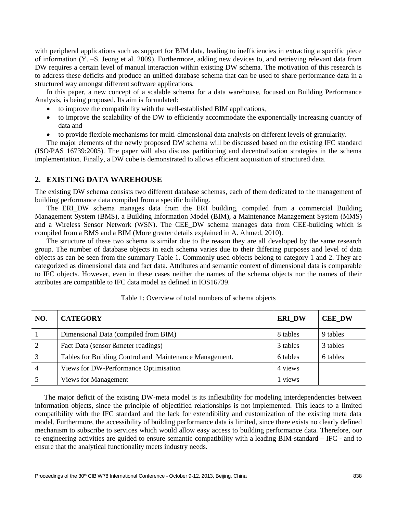with peripheral applications such as support for BIM data, leading to inefficiencies in extracting a specific piece of information (Y. –S. Jeong et al. 2009). Furthermore, adding new devices to, and retrieving relevant data from DW requires a certain level of manual interaction within existing DW schema. The motivation of this research is to address these deficits and produce an unified database schema that can be used to share performance data in a structured way amongst different software applications.

In this paper, a new concept of a scalable schema for a data warehouse, focused on Building Performance Analysis, is being proposed. Its aim is formulated:

- to improve the compatibility with the well-established BIM applications,
- to improve the scalability of the DW to efficiently accommodate the exponentially increasing quantity of data and
- to provide flexible mechanisms for multi-dimensional data analysis on different levels of granularity.

The major elements of the newly proposed DW schema will be discussed based on the existing IFC standard (ISO/PAS 16739:2005). The paper will also discuss partitioning and decentralization strategies in the schema implementation. Finally, a DW cube is demonstrated to allows efficient acquisition of structured data.

# **2. EXISTING DATA WAREHOUSE**

The existing DW schema consists two different database schemas, each of them dedicated to the management of building performance data compiled from a specific building.

The ERI\_DW schema manages data from the ERI building, compiled from a commercial Building Management System (BMS), a Building Information Model (BIM), a Maintenance Management System (MMS) and a Wireless Sensor Network (WSN). The CEE\_DW schema manages data from CEE-building which is compiled from a BMS and a BIM (More greater details explained in A. Ahmed, 2010).

The structure of these two schema is similar due to the reason they are all developed by the same research group. The number of database objects in each schema varies due to their differing purposes and level of data objects as can be seen from the summary Table 1. Commonly used objects belong to category 1 and 2. They are categorized as dimensional data and fact data. Attributes and semantic context of dimensional data is comparable to IFC objects. However, even in these cases neither the names of the schema objects nor the names of their attributes are compatible to IFC data model as defined in IOS16739.

| NO.            | <b>CATEGORY</b>                                         | <b>ERI_DW</b> | <b>CEE_DW</b> |
|----------------|---------------------------------------------------------|---------------|---------------|
|                | Dimensional Data (compiled from BIM)                    | 8 tables      | 9 tables      |
|                | Fact Data (sensor & meter readings)                     | 3 tables      | 3 tables      |
|                | Tables for Building Control and Maintenance Management. | 6 tables      | 6 tables      |
| $\overline{4}$ | Views for DW-Performance Optimisation                   | 4 views       |               |
|                | <b>Views for Management</b>                             | 1 views       |               |

Table 1: Overview of total numbers of schema objects

The major deficit of the existing DW-meta model is its inflexibility for modeling interdependencies between information objects, since the principle of objectified relationships is not implemented. This leads to a limited compatibility with the IFC standard and the lack for extendibility and customization of the existing meta data model. Furthermore, the accessibility of building performance data is limited, since there exists no clearly defined mechanism to subscribe to services which would allow easy access to building performance data. Therefore, our re-engineering activities are guided to ensure semantic compatibility with a leading BIM-standard – IFC - and to ensure that the analytical functionality meets industry needs.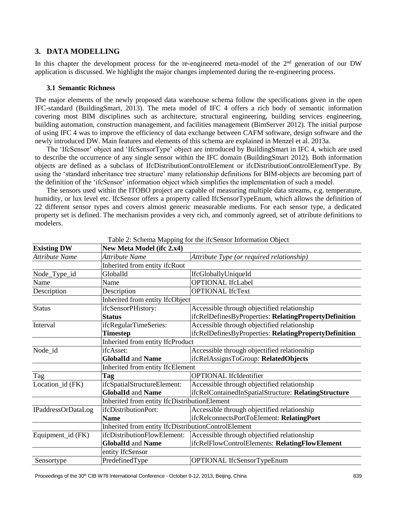# **3. DATA MODELLING**

In this chapter the development process for the re-engineered meta-model of the  $2<sup>nd</sup>$  generation of our DW application is discussed. We highlight the major changes implemented during the re-engineering process.

## **3.1 Semantic Richness**

The major elements of the newly proposed data warehouse schema follow the specifications given in the open IFC-standard (BuildingSmart, 2013). The meta model of IFC 4 offers a rich body of semantic information covering most BIM disciplines such as architecture, structural engineering, building services engineering, building automation, construction management, and facilities management (BimServer 2012). The initial purpose of using IFC 4 was to improve the efficiency of data exchange between CAFM software, design software and the newly introduced DW. Main features and elements of this schema are explained in Menzel et al. 2013a.

The 'IfcSensor' object and 'IfcSensorType' object are introduced by BuildingSmart in IFC 4, which are used to describe the occurrence of any single sensor within the IFC domain (BuildingSmart 2012). Both information objects are defined as a subclass of IfcDistributionControlElement or ifcDistributionControlElementType. By using the 'standard inheritance tree structure' many relationship definitions for BIM-objects are becoming part of the definition of the 'ifcSensor' information object which simplifies the implementation of such a model.

The sensors used within the ITOBO project are capable of measuring multiple data streams, e.g. temperature, humidity, or lux level etc. IfcSensor offers a property called IfcSensorTypeEnum, which allows the definition of 22 different sensor types and covers almost generic measurable mediums. For each sensor type, a dedicated property set is defined. The mechanism provides a very rich, and commonly agreed, set of attribute definitions to modelers.

| <b>Existing DW</b> | New Meta Model (ifc 2.x4)                           |                                                       |  |
|--------------------|-----------------------------------------------------|-------------------------------------------------------|--|
| Attribute Name     | Attribute Name                                      | Attribute Type (or required relationship)             |  |
|                    | Inherited from entity ifcRoot                       |                                                       |  |
| Node_Type_id       | GlobalId                                            | IfcGloballyUniqueId                                   |  |
| Name               | Name                                                | <b>OPTIONAL IfcLabel</b>                              |  |
| Description        | Description                                         | <b>OPTIONAL IfcText</b>                               |  |
|                    | Inherited from entity IfcObject                     |                                                       |  |
| <b>Status</b>      | ifcSensorPHistory:                                  | Accessible through objectified relationship           |  |
|                    | <b>Status</b>                                       | ifcRelDefinesByProperties: RelatingPropertyDefinition |  |
| Interval           | ifcRegularTimeSeries:                               | Accessible through objectified relationship           |  |
|                    | <b>Timestep</b>                                     | ifcRelDefinesByProperties: RelatingPropertyDefinition |  |
|                    | Inherited from entity IfcProduct                    |                                                       |  |
| Node_id            | ifcAsset:                                           | Accessible through objectified relationship           |  |
|                    | <b>GlobalId and Name</b>                            | ifcRelAssignsToGroup: RelatedObjects                  |  |
|                    | Inherited from entity IfcElement                    |                                                       |  |
| Tag                | <b>Tag</b>                                          | <b>OPTIONAL</b> IfcIdentifier                         |  |
| Location_id (FK)   | ifcSpatialStructureElement:                         | Accessible through objectified relationship           |  |
|                    | <b>GlobalId and Name</b>                            | ifcRelContainedInSpatialStructure: RelatingStructure  |  |
|                    | Inherited from entity IfcDistributionElement        |                                                       |  |
| IPaddressOrDataLog | ifcDistributionPort:                                | Accessible through objectified relationship           |  |
|                    | <b>Name</b>                                         | ifcRelconnectsPortToElement: RelatingPort             |  |
|                    | Inherited from entity IfcDistributionControlElement |                                                       |  |
| Equipment_id (FK)  | ifcDistributionFlowElement:                         | Accessible through objectified relationship           |  |
|                    | <b>GlobalId and Name</b>                            | ifcRelFlowControlElements: RelatingFlowElement        |  |
|                    | entity IfcSensor                                    |                                                       |  |
| Sensortype         | PredefinedType                                      | OPTIONAL IfcSensorTypeEnum                            |  |

Table 2: Schema Mapping for the ifcSensor Information Object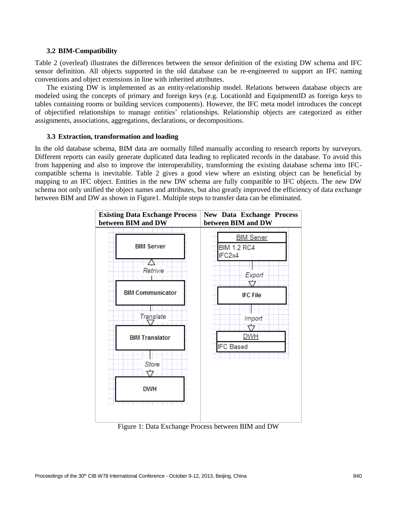### **3.2 BIM-Compatibility**

Table 2 (overleaf) illustrates the differences between the sensor definition of the existing DW schema and IFC sensor definition. All objects supported in the old database can be re-engineered to support an IFC naming conventions and object extensions in line with inherited attributes.

The existing DW is implemented as an entity-relationship model. Relations between database objects are modeled using the concepts of primary and foreign keys (e.g. LocationId and EquipmentID as foreign keys to tables containing rooms or building services components). However, the IFC meta model introduces the concept of objectified relationships to manage entities' relationships. Relationship objects are categorized as either assignments, associations, aggregations, declarations, or decompositions.

### **3.3 Extraction, transformation and loading**

In the old database schema, BIM data are normally filled manually according to research reports by surveyors. Different reports can easily generate duplicated data leading to replicated records in the database. To avoid this from happening and also to improve the interoperability, transforming the existing database schema into IFCcompatible schema is inevitable. Table 2 gives a good view where an existing object can be beneficial by mapping to an IFC object. Entities in the new DW schema are fully compatible to IFC objects. The new DW schema not only unified the object names and attributes, but also greatly improved the efficiency of data exchange between BIM and DW as shown in Figure1. Multiple steps to transfer data can be eliminated.



Figure 1: Data Exchange Process between BIM and DW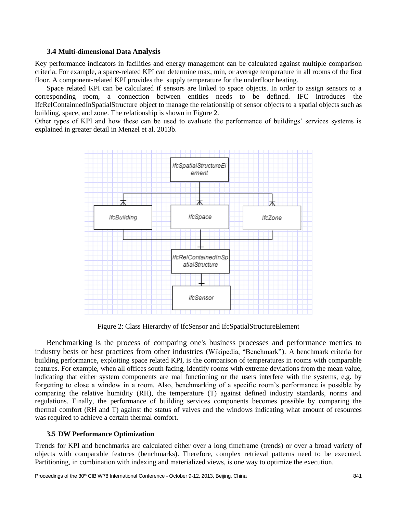## **3.4 Multi-dimensional Data Analysis**

Key performance indicators in facilities and energy management can be calculated against multiple comparison criteria. For example, a space-related KPI can determine max, min, or average temperature in all rooms of the first floor. A component-related KPI provides the supply temperature for the underfloor heating.

Space related KPI can be calculated if sensors are linked to space objects. In order to assign sensors to a corresponding room, a connection between entities needs to be defined. IFC introduces the IfcRelContainnedInSpatialStructure object to manage the relationship of sensor objects to a spatial objects such as building, space, and zone. The relationship is shown in Figure 2.

Other types of KPI and how these can be used to evaluate the performance of buildings' services systems is explained in greater detail in Menzel et al. 2013b.



Figure 2: Class Hierarchy of IfcSensor and IfcSpatialStructureElement

Benchmarking is the process of comparing one's business processes and performance metrics to industry bests or best practices from other industries (Wikipedia, "Benchmark"). A benchmark criteria for building performance, exploiting space related KPI, is the comparison of temperatures in rooms with comparable features. For example, when all offices south facing, identify rooms with extreme deviations from the mean value, indicating that either system components are mal functioning or the users interfere with the systems, e.g. by forgetting to close a window in a room. Also, benchmarking of a specific room's performance is possible by comparing the relative humidity (RH), the temperature (T) against defined industry standards, norms and regulations. Finally, the performance of building services components becomes possible by comparing the thermal comfort (RH and T) against the status of valves and the windows indicating what amount of resources was required to achieve a certain thermal comfort.

## **3.5 DW Performance Optimization**

Trends for KPI and benchmarks are calculated either over a long timeframe (trends) or over a broad variety of objects with comparable features (benchmarks). Therefore, complex retrieval patterns need to be executed. Partitioning, in combination with indexing and materialized views, is one way to optimize the execution.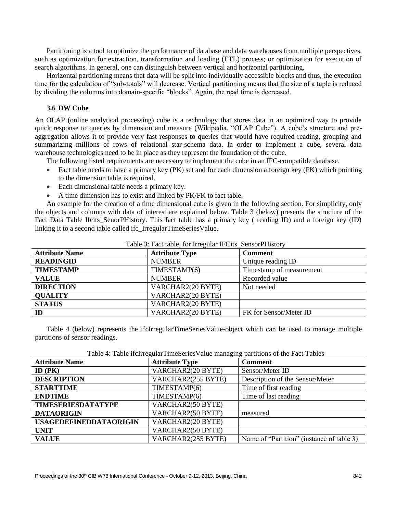Partitioning is a tool to optimize the performance of database and data warehouses from multiple perspectives, such as optimization for extraction, transformation and loading (ETL) process; or optimization for execution of search algorithms. In general, one can distinguish between vertical and horizontal partitioning.

Horizontal partitioning means that data will be split into individually accessible blocks and thus, the execution time for the calculation of "sub-totals" will decrease. Vertical partitioning means that the size of a tuple is reduced by dividing the columns into domain-specific "blocks". Again, the read time is decreased.

### **3.6 DW Cube**

An OLAP (online analytical processing) cube is a technology that stores data in an optimized way to provide quick response to queries by dimension and measure (Wikipedia, "OLAP Cube"). A cube's structure and preaggregation allows it to provide very fast responses to queries that would have required reading, grouping and summarizing millions of rows of relational star-schema data. In order to implement a cube, several data warehouse technologies need to be in place as they represent the foundation of the cube.

The following listed requirements are necessary to implement the cube in an IFC-compatible database.

- Fact table needs to have a primary key (PK) set and for each dimension a foreign key (FK) which pointing to the dimension table is required.
- Each dimensional table needs a primary key.
- A time dimension has to exist and linked by PK/FK to fact table.

An example for the creation of a time dimensional cube is given in the following section. For simplicity, only the objects and columns with data of interest are explained below. Table 3 (below) presents the structure of the Fact Data Table Ifcits\_SenorPHistory. This fact table has a primary key ( reading ID) and a foreign key (ID) linking it to a second table called ifc\_IrregularTimeSeriesValue.

| Table 5. Pact table, for integular IT Cits Sellsoft History |                       |                          |
|-------------------------------------------------------------|-----------------------|--------------------------|
| <b>Attribute Name</b>                                       | <b>Attribute Type</b> | <b>Comment</b>           |
| <b>READINGID</b>                                            | <b>NUMBER</b>         | Unique reading ID        |
| <b>TIMESTAMP</b>                                            | TIMESTAMP(6)          | Timestamp of measurement |
| <b>VALUE</b>                                                | <b>NUMBER</b>         | Recorded value           |
| <b>DIRECTION</b>                                            | VARCHAR2(20 BYTE)     | Not needed               |
| <b>QUALITY</b>                                              | VARCHAR2(20 BYTE)     |                          |
| <b>STATUS</b>                                               | VARCHAR2(20 BYTE)     |                          |
| ID                                                          | VARCHAR2(20 BYTE)     | FK for Sensor/Meter ID   |

# Table 3: Fact table, for Irregular IFCits\_SensorPHistory

Table 4 (below) represents the ifcIrregularTimeSeriesValue-object which can be used to manage multiple partitions of sensor readings.

| Table 4: Table if cIrregularTimeSeriesValue managing partitions of the Fact Tables |
|------------------------------------------------------------------------------------|
|                                                                                    |

| <b>Attribute Name</b>         | <b>Attribute Type</b> | <b>Comment</b>                            |
|-------------------------------|-----------------------|-------------------------------------------|
| ID $(PK)$                     | VARCHAR2(20 BYTE)     | Sensor/Meter ID                           |
| <b>DESCRIPTION</b>            | VARCHAR2(255 BYTE)    | Description of the Sensor/Meter           |
| <b>STARTTIME</b>              | TIMESTAMP(6)          | Time of first reading                     |
| <b>ENDTIME</b>                | TIMESTAMP(6)          | Time of last reading                      |
| <b>TIMESERIESDATATYPE</b>     | VARCHAR2(50 BYTE)     |                                           |
| <b>DATAORIGIN</b>             | VARCHAR2(50 BYTE)     | measured                                  |
| <b>USAGEDEFINEDDATAORIGIN</b> | VARCHAR2(20 BYTE)     |                                           |
| <b>UNIT</b>                   | VARCHAR2(50 BYTE)     |                                           |
| <b>VALUE</b>                  | VARCHAR2(255 BYTE)    | Name of "Partition" (instance of table 3) |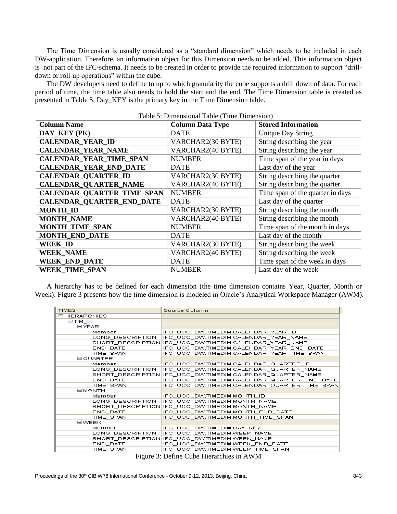The Time Dimension is usually considered as a "standard dimension" which needs to be included in each DW-application. Therefore, an information object for this Dimension needs to be added. This information object is not part of the IFC-schema. It needs to be created in order to provide the required information to support "drilldown or roll-up operations" within the cube.

The DW developers need to define to up to which granularity the cube supports a drill down of data. For each period of time, the time table also needs to hold the start and the end. The Time Dimension table is created as presented in Table 5. Day\_KEY is the primary key in the Time Dimension table.

| <b>Column Name</b>                | rapic 9: Dimensional Table (Third Dimension)<br><b>Column Data Type</b> | <b>Stored Information</b>        |
|-----------------------------------|-------------------------------------------------------------------------|----------------------------------|
| DAY KEY (PK)                      | <b>DATE</b>                                                             | <b>Unique Day String</b>         |
| <b>CALENDAR_YEAR_ID</b>           | VARCHAR2(30 BYTE)                                                       | String describing the year       |
| <b>CALENDAR_YEAR_NAME</b>         | VARCHAR2(40 BYTE)                                                       | String describing the year       |
| <b>CALENDAR_YEAR_TIME_SPAN</b>    | <b>NUMBER</b>                                                           | Time span of the year in days    |
| <b>CALENDAR_YEAR_END_DATE</b>     | <b>DATE</b>                                                             | Last day of the year             |
| <b>CALENDAR_QUARTER_ID</b>        | VARCHAR2(30 BYTE)                                                       | String describing the quarter    |
| <b>CALENDAR_QUARTER_NAME</b>      | VARCHAR2(40 BYTE)                                                       | String describing the quarter    |
| <b>CALENDAR_QUARTER_TIME_SPAN</b> | <b>NUMBER</b>                                                           | Time span of the quarter in days |
| <b>CALENDAR_QUARTER_END_DATE</b>  | <b>DATE</b>                                                             | Last day of the quarter          |
| <b>MONTH ID</b>                   | VARCHAR2(30 BYTE)                                                       | String describing the month      |
| <b>MONTH_NAME</b>                 | VARCHAR2(40 BYTE)                                                       | String describing the month      |
| <b>MONTH_TIME_SPAN</b>            | <b>NUMBER</b>                                                           | Time span of the month in days   |
| <b>MONTH_END_DATE</b>             | <b>DATE</b>                                                             | Last day of the month            |
| <b>WEEK_ID</b>                    | VARCHAR2(30 BYTE)                                                       | String describing the week       |
| <b>WEEK_NAME</b>                  | VARCHAR2(40 BYTE)                                                       | String describing the week       |
| <b>WEEK_END_DATE</b>              | <b>DATE</b>                                                             | Time span of the week in days    |
| <b>WEEK TIME SPAN</b>             | <b>NUMBER</b>                                                           | Last day of the week             |

Table 5: Dimensional Table (Time Dimension)

A hierarchy has to be defined for each dimension (the time dimension contains Year, Quarter, Month or Week). Figure 3 presents how the time dimension is modeled in Oracle's Analytical Workspace Manager (AWM).

| TIME <sub>2</sub>   | Source Column                                           |
|---------------------|---------------------------------------------------------|
| <b>EHIERARCHIES</b> |                                                         |
| ⊟TIM H              |                                                         |
| EIYEAR              |                                                         |
| Member              | IFC_UCC_DW.TIMEDIM.CALENDAR_YEAR_ID                     |
| LONG DESCRIPTION    | IFC UCC DW.TIMEDIM.CALENDAR YEAR NAME                   |
|                     | SHORT_DESCRIPTION IFC_UCC_DW.TIMEDIM.CALENDAR_YEAR_NAME |
| END DATE            | IFC_UCC_DW.TIMEDIM.CALENDAR_YEAR_END_DATE               |
| TIME_SPAN           | IFC_UCC_DW.TIMEDIM.CALENDAR_YEAR_TIME_SPAN              |
| <b>EQUARTER</b>     |                                                         |
| Member              | IFC_UCC_DW.TIMEDIM.CALENDAR_QUARTER_ID                  |
| LONG DESCRIPTION    | IFC UCC DW.TIMEDIM.CALENDAR QUARTER NAME                |
|                     |                                                         |
| END_DATE            | IFC_UCC_DW.TIMEDIM.CALENDAR_QUARTER_END_DATE            |
| TIME SPAN           | IFC_UCC_DW.TIMEDIM.CALENDAR_QUARTER_TIME_SPAN           |
| ⊟MONTH              |                                                         |
| Member              | IFC_UCC_DW.TIMEDIM.MONTH_ID                             |
| LONG DESCRIPTION    | IFC UCC DW.TIMEDIM.MONTH NAME                           |
|                     | SHORT_DESCRIPTION IFC_UCC_DW.TIMEDIM.MONTH_NAME         |
| END_DATE            | IFC_UCC_DW.TIMEDIM.MONTH_END_DATE                       |
| TIME SPAN           | IFC UCC DW.TIMEDIM.MONTH TIME SPAN                      |
| <b>EWEEK</b>        |                                                         |
| Member              | IFC UCC DW.TIMEDIM.DAY KEY                              |
| LONG_DESCRIPTION    | IFC_UCC_DW.TIMEDIM.WEEK_NAME                            |
|                     | SHORT_DESCRIPTION IFC_UCC_DW.TIMEDIM.WEEK_NAME          |
| END_DATE            | IFC_UCC_DW.TIMEDIM.WEEK_END_DATE                        |
| TIME SPAN           | IFC_UCC_DW.TIMEDIM.WEEK_TIME_SPAN                       |

Figure 3: Define Cube Hierarchies in AWM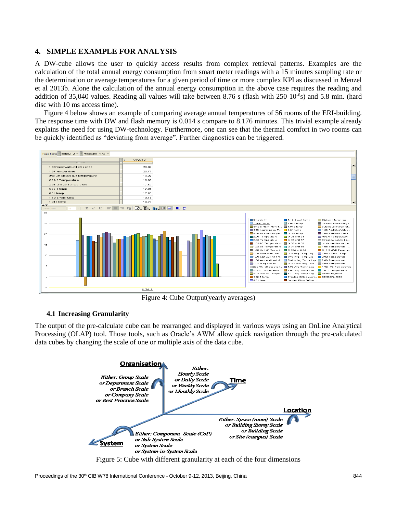# **4. SIMPLE EXAMPLE FOR ANALYSIS**

A DW-cube allows the user to quickly access results from complex retrieval patterns. Examples are the calculation of the total annual energy consumption from smart meter readings with a 15 minutes sampling rate or the determination or average temperatures for a given period of time or more complex KPI as discussed in Menzel et al 2013b. Alone the calculation of the annual energy consumption in the above case requires the reading and addition of 35,040 values. Reading all values will take between 8.76 s (flash with 250 10<sup>-6</sup>s) and 5.8 min. (hard disc with 10 ms access time).

Figure 4 below shows an example of comparing average annual temperatures of 56 rooms of the ERI-building. The response time with DW and flash memory is 0.014 s compare to 8.176 minutes. This trivial example already explains the need for using DW-technology. Furthermore, one can see that the thermal comfort in two rooms can be quickly identified as "deviating from average". Further diagnostics can be triggered.



Figure 4: Cube Output(yearly averages)

# **4.1 Increasing Granularity**

The output of the pre-calculate cube can be rearranged and displayed in various ways using an OnLine Analytical Processing (OLAP) tool. Those tools, such as Oracle's AWM allow quick navigation through the pre-calculated data cubes by changing the scale of one or multiple axis of the data cube.

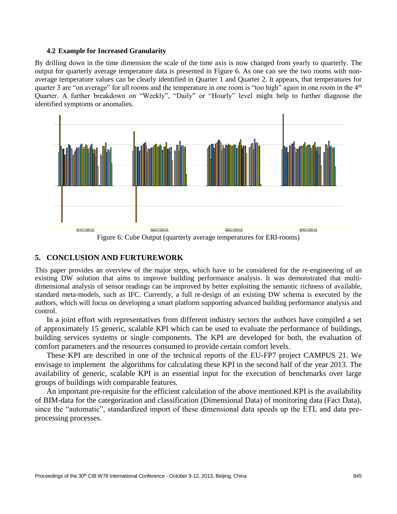#### **4.2 Example for Increased Granularity**

By drilling down in the time dimension the scale of the time axis is now changed from yearly to quarterly. The output for quarterly average temperature data is presented in Figure 6. As one can see the two rooms with nonaverage temperature values can be clearly identified in Quarter 1 and Quarter 2. It appears, that temperatures for quarter 3 are "on average" for all rooms and the temperature in one room is "too high" again in one room in the  $4<sup>th</sup>$ Quarter. A further breakdown on "Weekly", "Daily" or "Hourly" level might help to further diagnose the identified symptoms or anomalies.



Figure 6: Cube Output (quarterly average temperatures for ERI-rooms)

# **5. CONCLUSION AND FURTUREWORK**

This paper provides an overview of the major steps, which have to be considered for the re-engineering of an existing DW solution that aims to improve building performance analysis. It was demonstrated that multidimensional analysis of sensor readings can be improved by better exploiting the semantic richness of available, standard meta-models, such as IFC. Currently, a full re-design of an existing DW schema is executed by the authors, which will focus on developing a smart platform supporting advanced building performance analysis and control.

In a joint effort with representatives from different industry sectors the authors have compiled a set of approximately 15 generic, scalable KPI which can be used to evaluate the performance of buildings, building services systems or single components. The KPI are developed for both, the evaluation of comfort parameters and the resources consumed to provide certain comfort levels.

These KPI are described in one of the technical reports of the EU-FP7 project CAMPUS 21. We envisage to implement the algorithms for calculating these KPI in the second half of the year 2013. The availability of generic, scalable KPI is an essential input for the execution of benchmarks over large groups of buildings with comparable features.

An important pre-requisite for the efficient calculation of the above mentioned KPI is the availability of BIM-data for the categorization and classification (Dimensional Data) of monitoring data (Fact Data), since the "automatic", standardized import of these dimensional data speeds up the ETL and data preprocessing processes.